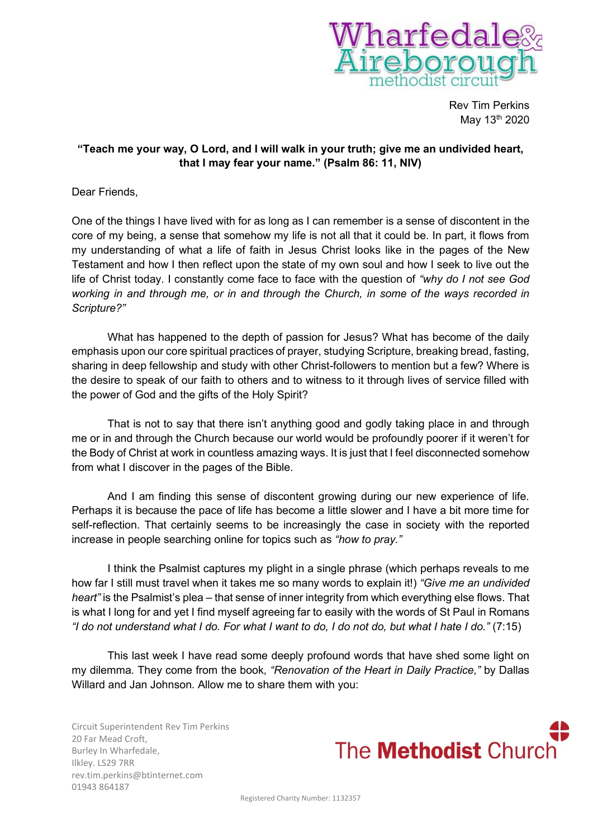

Rev Tim Perkins May 13<sup>th</sup> 2020

## **"Teach me your way, O Lord, and I will walk in your truth; give me an undivided heart, that I may fear your name." (Psalm 86: 11, NIV)**

Dear Friends,

One of the things I have lived with for as long as I can remember is a sense of discontent in the core of my being, a sense that somehow my life is not all that it could be. In part, it flows from my understanding of what a life of faith in Jesus Christ looks like in the pages of the New Testament and how I then reflect upon the state of my own soul and how I seek to live out the life of Christ today. I constantly come face to face with the question of *"why do I not see God working in and through me, or in and through the Church, in some of the ways recorded in Scripture?"*

What has happened to the depth of passion for Jesus? What has become of the daily emphasis upon our core spiritual practices of prayer, studying Scripture, breaking bread, fasting, sharing in deep fellowship and study with other Christ-followers to mention but a few? Where is the desire to speak of our faith to others and to witness to it through lives of service filled with the power of God and the gifts of the Holy Spirit?

That is not to say that there isn't anything good and godly taking place in and through me or in and through the Church because our world would be profoundly poorer if it weren't for the Body of Christ at work in countless amazing ways. It is just that I feel disconnected somehow from what I discover in the pages of the Bible.

And I am finding this sense of discontent growing during our new experience of life. Perhaps it is because the pace of life has become a little slower and I have a bit more time for self-reflection. That certainly seems to be increasingly the case in society with the reported increase in people searching online for topics such as *"how to pray."*

I think the Psalmist captures my plight in a single phrase (which perhaps reveals to me how far I still must travel when it takes me so many words to explain it!) *"Give me an undivided heart"* is the Psalmist's plea – that sense of inner integrity from which everything else flows. That is what I long for and yet I find myself agreeing far to easily with the words of St Paul in Romans *"I do not understand what I do. For what I want to do, I do not do, but what I hate I do."* (7:15)

This last week I have read some deeply profound words that have shed some light on my dilemma. They come from the book, *"Renovation of the Heart in Daily Practice,"* by Dallas Willard and Jan Johnson. Allow me to share them with you:

Circuit Superintendent Rev Tim Perkins 20 Far Mead Croft, Burley In Wharfedale, Ilkley. LS29 7RR rev.tim.perkins@btinternet.com 01943 864187